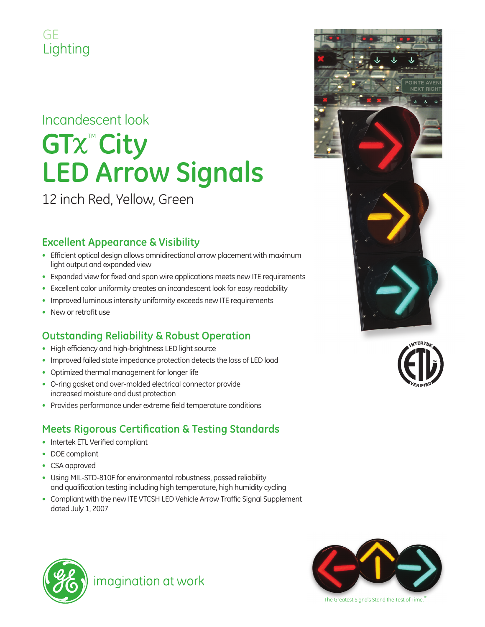### GE Lighting

# Incandescent look **GTx<sup>™</sup>City LED Arrow Signals**

12 inch Red, Yellow, Green

#### **Excellent Appearance & Visibility**

- Efficient optical design allows omnidirectional arrow placement with maximum light output and expanded view
- Expanded view for fixed and span wire applications meets new ITE requirements
- Excellent color uniformity creates an incandescent look for easy readability
- Improved luminous intensity uniformity exceeds new ITE requirements
- $\bullet$  New or retrofit use

### **Outstanding Reliability & Robust Operation**

- High efficiency and high-brightness LED light source
- Improved failed state impedance protection detects the loss of LED load
- Optimized thermal management for longer life
- O-ring gasket and over-molded electrical connector provide increased moisture and dust protection
- Provides performance under extreme field temperature conditions

#### **Meets Rigorous Certification & Testing Standards**

- Intertek ETL Verified compliant
- DOE compliant
- CSA approved
- Using MIL-STD-810F for environmental robustness, passed reliability and qualification testing including high temperature, high humidity cycling
- Compliant with the new ITE VTCSH LED Vehicle Arrow Traffic Signal Supplement dated July 1, 2007







imagination at work



The Greatest Signals Stand the Test of Time.